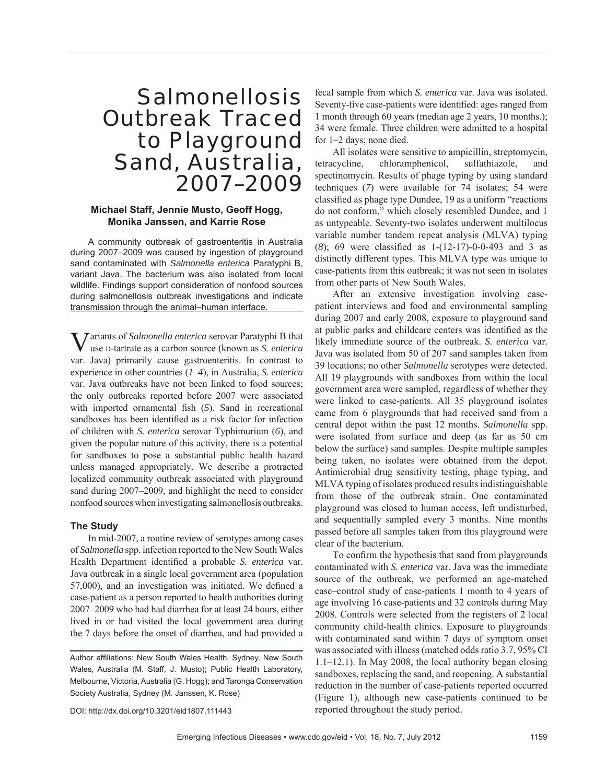# Salmonellosis Outbreak Traced to Playground Sand, Australia, 2007–2009

## **Michael Staff, Jennie Musto, Geoff Hogg, Monika Janssen, and Karrie Rose**

A community outbreak of gastroenteritis in Australia during 2007–2009 was caused by ingestion of playground sand contaminated with *Salmonella enterica* Paratyphi B, variant Java. The bacterium was also isolated from local wildlife. Findings support consideration of nonfood sources during salmonellosis outbreak investigations and indicate transmission through the animal–human interface.

Variants of *Salmonella enterica* serovar Paratyphi B that use D-tartrate as a carbon source (known as *S. enterica* var. Java) primarily cause gastroenteritis. In contrast to experience in other countries (*1–4*), in Australia, *S. enterica* var. Java outbreaks have not been linked to food sources; the only outbreaks reported before 2007 were associated with imported ornamental fish  $(5)$ . Sand in recreational sandboxes has been identified as a risk factor for infection of children with *S. enterica* serovar Typhimurium (*6*), and given the popular nature of this activity, there is a potential for sandboxes to pose a substantial public health hazard unless managed appropriately. We describe a protracted localized community outbreak associated with playground sand during 2007–2009, and highlight the need to consider nonfood sources when investigating salmonellosis outbreaks.

# **The Study**

In mid-2007, a routine review of serotypes among cases of *Salmonella* spp. infection reported to the New South Wales Health Department identified a probable *S. enterica* var. Java outbreak in a single local government area (population 57,000), and an investigation was initiated. We defined a case-patient as a person reported to health authorities during 2007–2009 who had had diarrhea for at least 24 hours, either lived in or had visited the local government area during the 7 days before the onset of diarrhea, and had provided a fecal sample from which *S. enterica* var. Java was isolated. Seventy-five case-patients were identified: ages ranged from 1 month through 60 years (median age 2 years, 10 months.); 34 were female. Three children were admitted to a hospital for 1–2 days; none died.

All isolates were sensitive to ampicillin, streptomycin, tetracycline, chloramphenicol, sulfathiazole, and spectinomycin. Results of phage typing by using standard techniques (*7*) were available for 74 isolates; 54 were classified as phage type Dundee, 19 as a uniform "reactions" do not conform," which closely resembled Dundee, and 1 as untypeable. Seventy-two isolates underwent multilocus variable number tandem repeat analysis (MLVA) typing  $(8)$ ; 69 were classified as 1- $(12-17)$ -0-0-493 and 3 as distinctly different types. This MLVA type was unique to case-patients from this outbreak; it was not seen in isolates from other parts of New South Wales.

After an extensive investigation involving casepatient interviews and food and environmental sampling during 2007 and early 2008, exposure to playground sand at public parks and childcare centers was identified as the likely immediate source of the outbreak. *S. enterica* var. Java was isolated from 50 of 207 sand samples taken from 39 locations; no other *Salmonella* serotypes were detected. All 19 playgrounds with sandboxes from within the local government area were sampled, regardless of whether they were linked to case-patients. All 35 playground isolates came from 6 playgrounds that had received sand from a central depot within the past 12 months. *Salmonella* spp. were isolated from surface and deep (as far as 50 cm below the surface) sand samples. Despite multiple samples being taken, no isolates were obtained from the depot. Antimicrobial drug sensitivity testing, phage typing, and MLVA typing of isolates produced results indistinguishable from those of the outbreak strain. One contaminated playground was closed to human access, left undisturbed, and sequentially sampled every 3 months. Nine months passed before all samples taken from this playground were clear of the bacterium.

To confirm the hypothesis that sand from playgrounds contaminated with *S. enterica* var. Java was the immediate source of the outbreak, we performed an age-matched case–control study of case-patients 1 month to 4 years of age involving 16 case-patients and 32 controls during May 2008. Controls were selected from the registers of 2 local community child-health clinics. Exposure to playgrounds with contaminated sand within 7 days of symptom onset was associated with illness (matched odds ratio 3.7, 95% CI 1.1–12.1). In May 2008, the local authority began closing sandboxes, replacing the sand, and reopening. A substantial reduction in the number of case-patients reported occurred (Figure 1), although new case-patients continued to be reported throughout the study period.

DOI: http://dx.doi.org/10.3201/eid1807.111443

Author affiliations: New South Wales Health, Sydney, New South Wales, Australia (M. Staff, J. Musto); Public Health Laboratory, Melbourne, Victoria, Australia (G. Hogg); and Taronga Conservation Society Australia, Sydney (M. Janssen, K. Rose)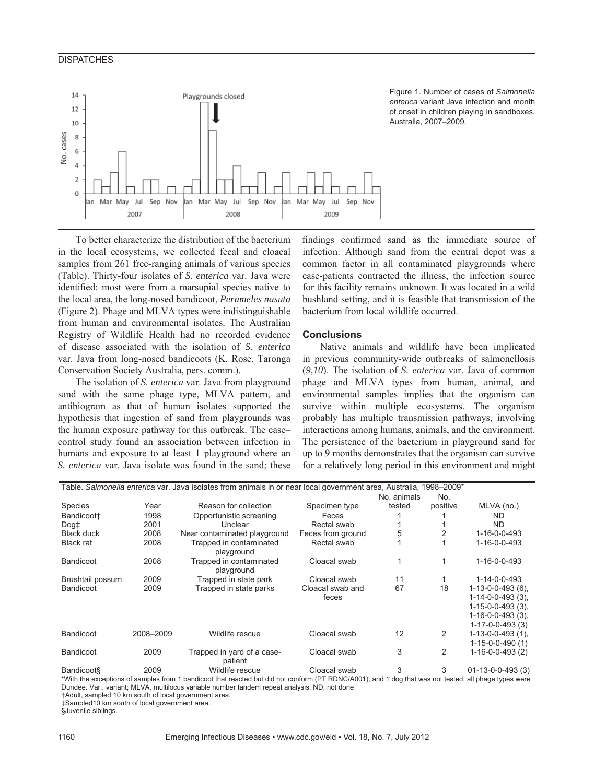## **DISPATCHES**



Figure 1. Number of cases of *Salmonella enterica* variant Java infection and month of onset in children playing in sandboxes, Australia, 2007–2009.

To better characterize the distribution of the bacterium in the local ecosystems, we collected fecal and cloacal samples from 261 free-ranging animals of various species (Table). Thirty-four isolates of *S. enterica* var. Java were identified: most were from a marsupial species native to the local area, the long-nosed bandicoot, *Perameles nasuta* (Figure 2). Phage and MLVA types were indistinguishable from human and environmental isolates. The Australian Registry of Wildlife Health had no recorded evidence of disease associated with the isolation of *S. enterica* var. Java from long-nosed bandicoots (K. Rose, Taronga Conservation Society Australia, pers. comm.).

The isolation of *S. enterica* var. Java from playground sand with the same phage type, MLVA pattern, and antibiogram as that of human isolates supported the hypothesis that ingestion of sand from playgrounds was the human exposure pathway for this outbreak. The case– control study found an association between infection in humans and exposure to at least 1 playground where an *S. enterica* var. Java isolate was found in the sand; these findings confirmed sand as the immediate source of infection. Although sand from the central depot was a common factor in all contaminated playgrounds where case-patients contracted the illness, the infection source for this facility remains unknown. It was located in a wild bushland setting, and it is feasible that transmission of the bacterium from local wildlife occurred.

#### **Conclusions**

Native animals and wildlife have been implicated in previous community-wide outbreaks of salmonellosis (*9,10*). The isolation of *S. enterica* var. Java of common phage and MLVA types from human, animal, and environmental samples implies that the organism can survive within multiple ecosystems. The organism probably has multiple transmission pathways, involving interactions among humans, animals, and the environment. The persistence of the bacterium in playground sand for up to 9 months demonstrates that the organism can survive for a relatively long period in this environment and might

| Table. Salmonella enterica var. Java isolates from animals in or near local government area, Australia, 1998-2009* |           |                                       |                           |             |          |                                            |
|--------------------------------------------------------------------------------------------------------------------|-----------|---------------------------------------|---------------------------|-------------|----------|--------------------------------------------|
|                                                                                                                    |           |                                       |                           | No. animals | No.      |                                            |
| <b>Species</b>                                                                                                     | Year      | Reason for collection                 | Specimen type             | tested      | positive | MLVA (no.)                                 |
| Bandicoot+                                                                                                         | 1998      | Opportunistic screening               | Feces                     |             |          | ND.                                        |
| Dog <sub>‡</sub>                                                                                                   | 2001      | Unclear                               | Rectal swab               |             |          | ND.                                        |
| <b>Black duck</b>                                                                                                  | 2008      | Near contaminated playground          | Feces from ground         | 5           |          | 1-16-0-0-493                               |
| <b>Black rat</b>                                                                                                   | 2008      | Trapped in contaminated<br>playground | Rectal swab               |             |          | 1-16-0-0-493                               |
| <b>Bandicoot</b>                                                                                                   | 2008      | Trapped in contaminated<br>playground | Cloacal swab              | 1           |          | 1-16-0-0-493                               |
| Brushtail possum                                                                                                   | 2009      | Trapped in state park                 | Cloacal swab              | 11          |          | 1-14-0-0-493                               |
| <b>Bandicoot</b>                                                                                                   | 2009      | Trapped in state parks                | Cloacal swab and<br>feces | 67          | 18       | $1-13-0-0-493(6)$ .<br>$1-14-0-0-493(3)$ , |
|                                                                                                                    |           |                                       |                           |             |          | $1 - 15 - 0 - 0 - 493(3)$ .                |
|                                                                                                                    |           |                                       |                           |             |          | $1-16-0-0-493(3)$ ,                        |
|                                                                                                                    |           |                                       |                           |             |          | $1-17-0-0-493(3)$                          |
| <b>Bandicoot</b>                                                                                                   | 2008-2009 | Wildlife rescue                       | Cloacal swab              | 12          | 2        | $1-13-0-0-493(1)$ ,                        |
|                                                                                                                    |           |                                       |                           |             |          | $1-15-0-0-490(1)$                          |
| <b>Bandicoot</b>                                                                                                   | 2009      | Trapped in yard of a case-<br>patient | Cloacal swab              | 3           | 2        | $1-16-0-0-493(2)$                          |
| <b>Bandicoot</b> §                                                                                                 | 2009      | Wildlife rescue                       | Cloacal swab              | 3           | 3        | $01 - 13 - 0 - 0 - 493(3)$                 |

\*With the exceptions of samples from 1 bandicoot that reacted but did not conform (PT RDNC/A001), and 1 dog that was not tested, all phage types were Dundee. Var., variant; MLVA, multilocus variable number tandem repeat analysis; ND, not done.

†Adult, sampled 10 km south of local government area.

‡Sampled10 km south of local government area.

§Juvenile siblings.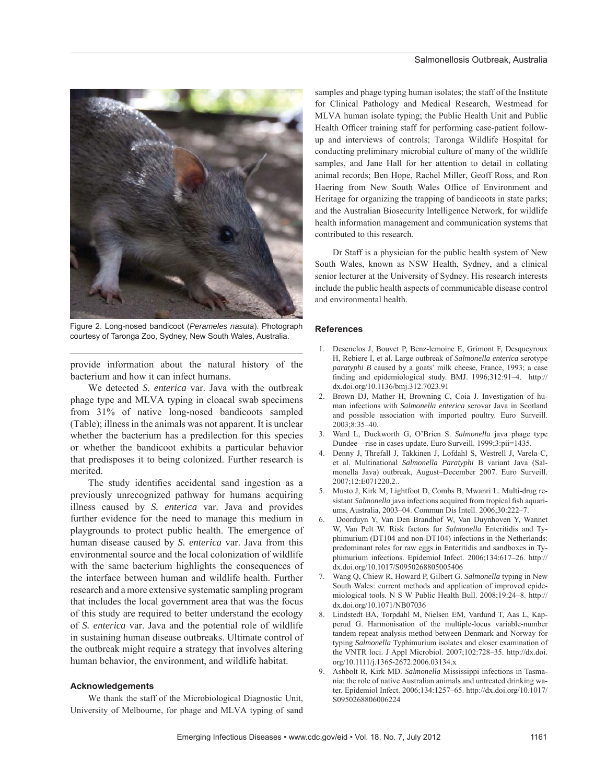

Figure 2. Long-nosed bandicoot (*Perameles nasuta*). Photograph courtesy of Taronga Zoo, Sydney, New South Wales, Australia.

provide information about the natural history of the bacterium and how it can infect humans.

We detected *S. enterica* var. Java with the outbreak phage type and MLVA typing in cloacal swab specimens from 31% of native long-nosed bandicoots sampled (Table); illness in the animals was not apparent. It is unclear whether the bacterium has a predilection for this species or whether the bandicoot exhibits a particular behavior that predisposes it to being colonized. Further research is merited.

The study identifies accidental sand ingestion as a previously unrecognized pathway for humans acquiring illness caused by *S. enterica* var. Java and provides further evidence for the need to manage this medium in playgrounds to protect public health. The emergence of human disease caused by *S. enterica* var. Java from this environmental source and the local colonization of wildlife with the same bacterium highlights the consequences of the interface between human and wildlife health. Further research and a more extensive systematic sampling program that includes the local government area that was the focus of this study are required to better understand the ecology of *S. enterica* var. Java and the potential role of wildlife in sustaining human disease outbreaks. Ultimate control of the outbreak might require a strategy that involves altering human behavior, the environment, and wildlife habitat.

#### **Acknowledgements**

We thank the staff of the Microbiological Diagnostic Unit, University of Melbourne, for phage and MLVA typing of sand samples and phage typing human isolates; the staff of the Institute for Clinical Pathology and Medical Research, Westmead for MLVA human isolate typing; the Public Health Unit and Public Health Officer training staff for performing case-patient followup and interviews of controls; Taronga Wildlife Hospital for conducting preliminary microbial culture of many of the wildlife samples, and Jane Hall for her attention to detail in collating animal records; Ben Hope, Rachel Miller, Geoff Ross, and Ron Haering from New South Wales Office of Environment and Heritage for organizing the trapping of bandicoots in state parks; and the Australian Biosecurity Intelligence Network, for wildlife health information management and communication systems that contributed to this research.

Dr Staff is a physician for the public health system of New South Wales, known as NSW Health, Sydney, and a clinical senior lecturer at the University of Sydney. His research interests include the public health aspects of communicable disease control and environmental health.

#### **References**

- 1. Desenclos J, Bouvet P, Benz-lemoine E, Grimont F, Desqueyroux H, Rebiere I, et al. Large outbreak of *Salmonella enterica* serotype *paratyphi B* caused by a goats' milk cheese, France, 1993; a case finding and epidemiological study. BMJ. 1996;312:91-4. http:// dx.doi.org/10.1136/bmj.312.7023.91
- 2. Brown DJ, Mather H, Browning C, Coia J. Investigation of human infections with *Salmonella enterica* serovar Java in Scotland and possible association with imported poultry. Euro Surveill. 2003;8:35–40.
- 3. Ward L, Duckworth G, O'Brien S. *Salmonella* java phage type Dundee—rise in cases update. Euro Surveill. 1999;3:pii=1435.
- 4. Denny J, Threfall J, Takkinen J, Lofdahl S, Westrell J, Varela C, et al. Multinational *Salmonella Paratyphi* B variant Java (Salmonella Java) outbreak, August–December 2007. Euro Surveill. 2007;12:E071220.2..
- 5. Musto J, Kirk M, Lightfoot D, Combs B, Mwanri L. Multi-drug resistant Salmonella java infections acquired from tropical fish aquariums, Australia, 2003–04. Commun Dis Intell. 2006;30:222–7.
- 6. Doorduyn Y, Van Den Brandhof W, Van Duynhoven Y, Wannet W, Van Pelt W. Risk factors for *Salmonella* Enteritidis and Typhimurium (DT104 and non-DT104) infections in the Netherlands: predominant roles for raw eggs in Enteritidis and sandboxes in Typhimurium infections. Epidemiol Infect. 2006;134:617–26. http:// dx.doi.org/10.1017/S0950268805005406
- 7. Wang Q, Chiew R, Howard P, Gilbert G. *Salmonella* typing in New South Wales: current methods and application of improved epidemiological tools. N S W Public Health Bull. 2008;19:24–8. http:// dx.doi.org/10.1071/NB07036
- 8. Lindstedt BA, Torpdahl M, Nielsen EM, Vardund T, Aas L, Kapperud G. Harmonisation of the multiple-locus variable-number tandem repeat analysis method between Denmark and Norway for typing *Salmonella* Typhimurium isolates and closer examination of the VNTR loci. J Appl Microbiol. 2007;102:728–35. http://dx.doi. org/10.1111/j.1365-2672.2006.03134.x
- 9. Ashbolt R, Kirk MD. *Salmonella* Mississippi infections in Tasmania: the role of native Australian animals and untreated drinking water. Epidemiol Infect. 2006;134:1257–65. http://dx.doi.org/10.1017/ S0950268806006224